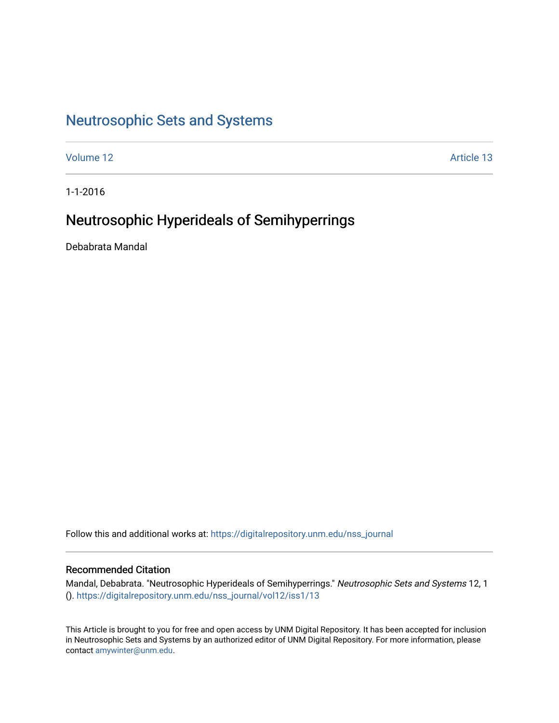# [Neutrosophic Sets and Systems](https://digitalrepository.unm.edu/nss_journal)

[Volume 12](https://digitalrepository.unm.edu/nss_journal/vol12) Article 13

1-1-2016

# Neutrosophic Hyperideals of Semihyperrings

Debabrata Mandal

Follow this and additional works at: [https://digitalrepository.unm.edu/nss\\_journal](https://digitalrepository.unm.edu/nss_journal?utm_source=digitalrepository.unm.edu%2Fnss_journal%2Fvol12%2Fiss1%2F13&utm_medium=PDF&utm_campaign=PDFCoverPages) 

## Recommended Citation

Mandal, Debabrata. "Neutrosophic Hyperideals of Semihyperrings." Neutrosophic Sets and Systems 12, 1 (). [https://digitalrepository.unm.edu/nss\\_journal/vol12/iss1/13](https://digitalrepository.unm.edu/nss_journal/vol12/iss1/13?utm_source=digitalrepository.unm.edu%2Fnss_journal%2Fvol12%2Fiss1%2F13&utm_medium=PDF&utm_campaign=PDFCoverPages)

This Article is brought to you for free and open access by UNM Digital Repository. It has been accepted for inclusion in Neutrosophic Sets and Systems by an authorized editor of UNM Digital Repository. For more information, please contact [amywinter@unm.edu](mailto:amywinter@unm.edu).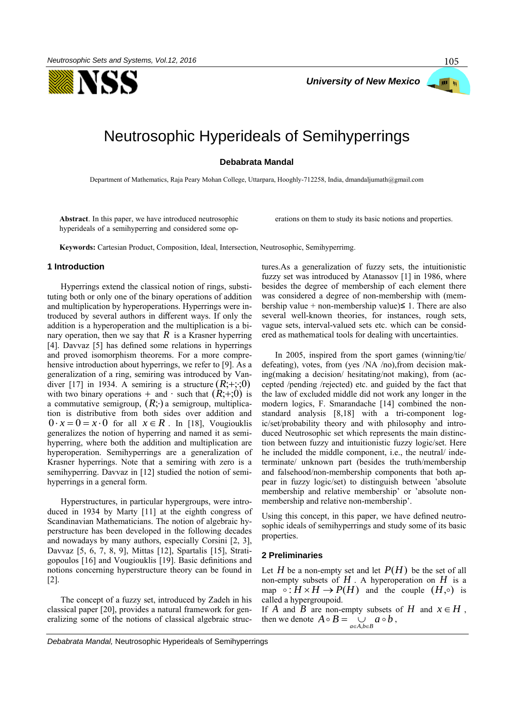



# Neutrosophic Hyperideals of Semihyperrings

**Debabrata Mandal** 

Department of Mathematics, Raja Peary Mohan College, Uttarpara, Hooghly-712258, India, dmandaljumath@gmail.com

**Abstract**. In this paper, we have introduced neutrosophic hyperideals of a semihyperring and considered some operations on them to study its basic notions and properties.

**Keywords:** Cartesian Product, Composition, Ideal, Intersection, Neutrosophic, Semihyperrimg.

#### **1 Introduction**

Hyperrings extend the classical notion of rings, substituting both or only one of the binary operations of addition and multiplication by hyperoperations. Hyperrings were introduced by several authors in different ways. If only the addition is a hyperoperation and the multiplication is a binary operation, then we say that  $R$  is a Krasner hyperring [4]. Davvaz [5] has defined some relations in hyperrings and proved isomorphism theorems. For a more comprehensive introduction about hyperrings, we refer to [9]. As a generalization of a ring, semiring was introduced by Vandiver [17] in 1934. A semiring is a structure  $(R, +;;0)$ with two binary operations + and  $\cdot$  such that  $(R, +0)$  is a commutative semigroup,  $(R; \cdot)$  a semigroup, multiplication is distributive from both sides over addition and  $0 \cdot x = 0 = x \cdot 0$  for all  $x \in R$ . In [18], Vougiouklis generalizes the notion of hyperring and named it as semihyperring, where both the addition and multiplication are hyperoperation. Semihyperrings are a generalization of Krasner hyperrings. Note that a semiring with zero is a semihyperring. Davvaz in [12] studied the notion of semihyperrings in a general form.

Hyperstructures, in particular hypergroups, were introduced in 1934 by Marty [11] at the eighth congress of Scandinavian Mathematicians. The notion of algebraic hyperstructure has been developed in the following decades and nowadays by many authors, especially Corsini [2, 3], Davvaz [5, 6, 7, 8, 9], Mittas [12], Spartalis [15], Stratigopoulos [16] and Vougiouklis [19]. Basic definitions and notions concerning hyperstructure theory can be found in [2].

The concept of a fuzzy set, introduced by Zadeh in his classical paper [20], provides a natural framework for generalizing some of the notions of classical algebraic structures.As a generalization of fuzzy sets, the intuitionistic fuzzy set was introduced by Atanassov [1] in 1986, where besides the degree of membership of each element there was considered a degree of non-membership with (membership value + non-membership value) $\leq$  1. There are also several well-known theories, for instances, rough sets, vague sets, interval-valued sets etc. which can be considered as mathematical tools for dealing with uncertainties.

In 2005, inspired from the sport games (winning/tie/ defeating), votes, from (yes /NA /no),from decision making(making a decision/ hesitating/not making), from (accepted /pending /rejected) etc. and guided by the fact that the law of excluded middle did not work any longer in the modern logics, F. Smarandache [14] combined the nonstandard analysis [8,18] with a tri-component logic/set/probability theory and with philosophy and introduced Neutrosophic set which represents the main distinction between fuzzy and intuitionistic fuzzy logic/set. Here he included the middle component, i.e., the neutral/ indeterminate/ unknown part (besides the truth/membership and falsehood/non-membership components that both appear in fuzzy logic/set) to distinguish between 'absolute membership and relative membership' or 'absolute nonmembership and relative non-membership'.

Using this concept, in this paper, we have defined neutrosophic ideals of semihyperrings and study some of its basic properties.

### **2 Preliminaries**

Let  $H$  be a non-empty set and let  $P(H)$  be the set of all non-empty subsets of  $H$ . A hyperoperation on  $H$  is a map  $\circ$ :  $H \times H \to P(H)$  and the couple  $(H, \circ)$  is called a hypergroupoid.

If A and B are non-empty subsets of H and  $x \in H$ , then we denote  $A \circ B = \begin{bmatrix} 1 & a & b \\ 0 & a & b \end{bmatrix}$  $a \in A, b \in B$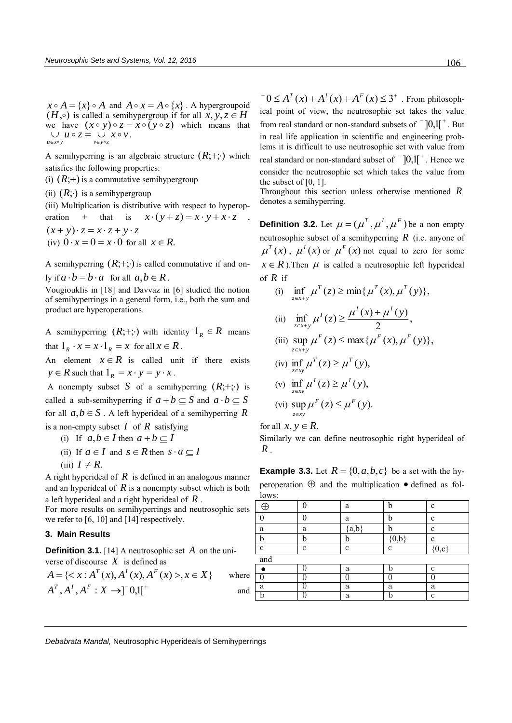$x \circ A = \{x\} \circ A$  and  $A \circ x = A \circ \{x\}$ . A hypergroupoid  $(H, \circ)$  is called a semihypergroup if for all  $\dot{x}, \dot{y}, z \in H$ we have  $(x \circ y) \circ z = x \circ (y \circ z)$  which means that  $\bigcup_{u \in x \circ y} u \circ z = \bigcup_{v \in y \circ z} x \circ v.$ 

A semihyperring is an algebraic structure  $(R; +; \cdot)$  which satisfies the following properties:

(i)  $(R;+)$  is a commutative semihypergroup

(ii)  $(R; \cdot)$  is a semihypergroup

(iii) Multiplication is distributive with respect to hyperoperation + that is  $x \cdot (y + z) = x \cdot y + x \cdot z$ 

 $(x + y) \cdot z = x \cdot z + y \cdot z$ (iv)  $0 \cdot x = 0 = x \cdot 0$  for all  $x \in R$ .

A semihyperring  $(R; +; \cdot)$  is called commutative if and only if  $a \cdot b = b \cdot a$  for all  $a, b \in R$ .

Vougiouklis in [18] and Davvaz in [6] studied the notion of semihyperrings in a general form, i.e., both the sum and product are hyperoperations.

A semihyperring  $(R; +; \cdot)$  with identity  $1_R \in R$  means that  $1_R \cdot x = x \cdot 1_R = x$  for all  $x \in R$ .

An element  $x \in R$  is called unit if there exists  $y \in R$  such that  $1_R = x \cdot y = y \cdot x$ .

A nonempty subset S of a semihyperring  $(R; +; \cdot)$  is called a sub-semihyperring if  $a + b \subseteq S$  and  $a \cdot b \subseteq S$ for all  $a, b \in S$ . A left hyperideal of a semihyperring R

is a non-empty subset  $I$  of  $R$  satisfying

- (i) If  $a, b \in I$  then  $a + b \subseteq I$
- (ii) If  $a \in I$  and  $s \in R$  then  $s \cdot a \subseteq I$
- $(iii)$   $I \neq R$ .

A right hyperideal of  $R$  is defined in an analogous manner and an hyperideal of  $R$  is a nonempty subset which is both a left hyperideal and a right hyperideal of *R* .

For more results on semihyperrings and neutrosophic sets we refer to [6, 10] and [14] respectively.

### **3. Main Results**

**Definition 3.1.** [14] A neutrosophic set A on the universe of discourse *X* is defined as

$$
A = \{ \langle x : A^T(x), A^T(x), A^F(x) \rangle, x \in X \} \quad \text{where}
$$
  

$$
A^T, A^T, A^F : X \rightarrow ][0,1[^+]
$$

 $A^T(x) + A^T(x) + A^F(x) \leq 3^+$ . From philosophical point of view, the neutrosophic set takes the value from real standard or non-standard subsets of  $\bar{1}$ ,  $0,1$ [ $\bar{1}$ . But in real life application in scientific and engineering problems it is difficult to use neutrosophic set with value from real standard or non-standard subset of  $\bar{ }$   $]0,1[^{+}$ . Hence we consider the neutrosophic set which takes the value from the subset of  $[0, 1]$ .

Throughout this section unless otherwise mentioned *R* denotes a semihyperring.

**Definition 3.2.** Let  $\mu = (\mu^T, \mu^I, \mu^F)$  be a non empty neutrosophic subset of a semihyperring *R* (i.e. anyone of  $\mu^{T}(x)$ ,  $\mu^{I}(x)$  or  $\mu^{F}(x)$  not equal to zero for some  $x \in R$ ). Then  $\mu$  is called a neutrosophic left hyperideal of *R* if

- (i)  $\inf \mu^{T}(z) \ge \min\{\mu^{T}(x), \mu^{T}(y)\},\$  $\inf_{z \in x+y} \mu^{T}(z) \ge \min\{ \mu^{T}(x), \mu^{T}(z) \}$ (ii) inf  $\mu'(z) \geq \frac{\mu(\lambda)+\mu(\lambda)}{2}$ , 2 inf  $\mu^{I}(z) \geq \frac{\mu^{I}(x) + \mu^{I}(y)}{2}$  $\mu^{I}(x) \sim \mu^{I}(x) + \mu^{I}$  $z \in x + y$  $\inf_{z \in x+y} \mu^{1}(z) \geq \frac{\mu^{1}(x)+\mu}{2}$
- (iii)  $\sup \mu^F(z) \leq \max\{\mu^F(x), \mu^F(y)\},\$  $z \in x + y$
- (iv)  $\inf_{z \in xy} \mu^{T}(z) \ge \mu^{T}(y)$ , (v)  $\inf_{z \in xy} \mu^{I}(z) \ge \mu^{I}(y)$ ,

$$
(vi) \sup_{z \in xy} \mu^F(z) \leq \mu^F(y).
$$

for all  $x, y \in R$ .

Similarly we can define neutrosophic right hyperideal of *R* .

**Example 3.3.** Let  $R = \{0, a, b, c\}$  be a set with the hyperoperation  $\oplus$  and the multiplication  $\bullet$  defined as fol $l$ ows:

| 10W.        |             |              |         |             |
|-------------|-------------|--------------|---------|-------------|
| Ŧ           | ⋂           | a            | h       | $\mathbf c$ |
|             |             | a            | h       | $\mathbf c$ |
| a           | a           | ${a,b}$      | h       | $\mathbf c$ |
| b           | b           | b            | ${0,b}$ | $\mathbf c$ |
| $\mathbf c$ | $\mathbf c$ | С            | с       | $\{0,c\}$   |
| and         |             |              |         |             |
|             |             | a            | n       | c           |
|             |             |              |         |             |
| a           |             | $\mathbf{a}$ | a       | a           |
|             |             | a            |         | c           |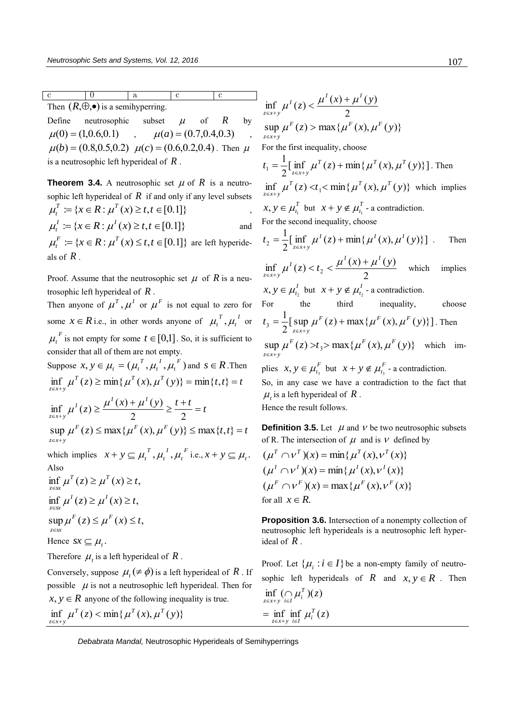c 0 a c c Then  $(R, \oplus, \bullet)$  is a semihyperring.

Define neutrosophic subset  $\mu$  of *R* by  $\mu(0) = (1,0.6,0.1)$ ,  $\mu(a) = (0.7,0.4,0.3)$  $\mu(b) = (0.8, 0.5, 0.2)$   $\mu(c) = (0.6, 0.2, 0.4)$ . Then  $\mu$ is a neutrosophic left hyperideal of *R* .

**Theorem 3.4.** A neutrosophic set  $\mu$  of  $R$  is a neutrosophic left hyperideal of  $R$  if and only if any level subsets  $\mu_t^T := \{ x \in R : \mu^T(x) \ge t, t \in [0,1] \}$ ,

$$
\mu_t^I := \{ x \in R : \mu^I(x) \ge t, t \in [0.1] \}
$$
 and

 $\mu_t^F := \{ x \in R : \mu^T(x) \le t, t \in [0,1] \}$  are left hyperideals of *R* .

Proof. Assume that the neutrosophic set  $\mu$  of R is a neutrosophic left hyperideal of *R* .

Then anyone of  $\mu^T$ ,  $\mu^I$  or  $\mu^F$  is not equal to zero for some  $x \in R$  i.e., in other words anyone of  $\mu_t^T$ ,  $\mu_t^T$ *t T*  $\mu_t^I$ ,  $\mu_t^I$  or  $\mu_t^F$  is not empty for some  $t \in [0,1]$ . So, it is sufficient to consider that all of them are not empty.

Suppose  $x, y \in \mu_t = (\mu_t^T, \mu_t^T, \mu_t^F)$ *t I t*  $\mu_t^T$ ,  $\mu_t^I$ ,  $\mu_t^F$ ) and  $s \in R$ . Then  $T'(z) \ge \min\{ \mu^T(x), \mu^T(y) \} = \min\{t, t\} = t$  $\inf_{z \in x+y} \mu^{T}(z) \ge \min\{\mu^{T}(x), \mu^{T}(y)\} = \min\{t,t\}$  $\lambda(z) \geq \frac{\mu^{t}(x) + \mu^{t}(y)}{2} \geq \frac{t+t}{2} = t$  $\mu^{I}(x) \sim \mu^{I}(x) + \mu^{I}$  $\inf_{z \in x+y} \mu^{1}(z) \geq \frac{\mu^{1}(x) + \mu^{1}(y)}{2} \geq \frac{t+t}{2}$  $2 \qquad \qquad 2$ inf  $\mu^{I}(z) \geq \frac{\mu^{I}(x) + \mu^{I}(y)}{2}$  $\sup \mu^{F}(z) \le \max\{\mu^{F}(x), \mu^{F}(y)\} \le \max\{t, t\} = t$  $z \in x + y$  $\in x+$ which implies  $x + y \nsubseteq \mu_t^T, \mu_t^I, \mu_t^F$ *t I t T*  $x + y \subseteq \mu_t^T, \mu_t^T, \mu_t^F$  i.e.,  $x + y \subseteq \mu_t$ . Also  $\inf \mu^{T}(z) \geq \mu^{T}(x) \geq t$ ,  $\inf_{z \in sx} \mu^T(z) \geq \mu^T(x) \geq$  $\inf \mu^{I}(z) \geq \mu^{I}(x) \geq t$ , *z sx* je,  $\sup \mu^F(z) \leq \mu^F(x) \leq t$ , *z sx* Hence  $sx \subseteq \mu_t$ . Therefore  $\mu_t$  is a left hyperideal of R.

Conversely, suppose  $\mu_t$  ( $\neq \phi$ ) is a left hyperideal of R. If possible  $\mu$  is not a neutrosophic left hyperideal. Then for  $x, y \in \mathbb{R}$  anyone of the following inequality is true.  $\inf_{z \in x+y} \mu^{T}(z) < \min\{\mu^{T}(x), \mu^{T}(y)\}$ 

$$
\inf_{z \in x+y} \mu^{I}(z) < \frac{\mu^{I}(x) + \mu^{I}(y)}{2}
$$
\n
$$
\sup_{z \in x+y} \mu^{F}(z) > \max \{ \mu^{F}(x), \mu^{F}(y) \}
$$
\nFor the first inequality, choose\n
$$
t_{1} = \frac{1}{2} [\inf_{z \in x+y} \mu^{T}(z) + \min \{ \mu^{T}(x), \mu^{T}(y) \}].
$$
\nThen\n
$$
\inf_{z \in x+y} \mu^{T}(z) < t_{1} < \min \{ \mu^{T}(x), \mu^{T}(y) \} \text{ which implies}
$$
\n
$$
x, y \in \mu_{t_{1}}^{T} \text{ but } x + y \notin \mu_{t_{1}}^{T} \text{ a contradiction.}
$$
\nFor the second inequality, choose\n
$$
t_{2} = \frac{1}{2} [\inf_{z \in x+y} \mu^{I}(z) + \min \{ \mu^{I}(x), \mu^{I}(y) \}].
$$
\nThen\n
$$
\inf_{z \in x+y} \mu^{I}(z) < t_{2} < \frac{\mu^{I}(x) + \mu^{I}(y)}{2} \text{ which implies}
$$
\n
$$
x, y \in \mu_{t_{2}}^{I} \text{ but } x + y \notin \mu_{t_{2}}^{I} \text{ a contradiction.}
$$
\nFor the third inequality, choose\n
$$
t_{3} = \frac{1}{2} [\sup_{z \in x+y} \mu^{F}(z) + \max \{ \mu^{F}(x), \mu^{F}(y) \}].
$$
\nThen\n
$$
\sup_{z \in x+y} \mu^{F}(z) > t_{3} > \max \{ \mu^{F}(x), \mu^{F}(y) \} \text{ which implies}
$$
\n
$$
x, y \in \mu_{t_{3}}^{F} \text{ but } x + y \notin \mu_{t_{3}}^{F} \text{ a contradiction.}
$$
\nSo, in any case we have a contradiction to the fact that\n
$$
\mu_{t}
$$
 is a left hyperideal of *R*. Hence the result follows.

**Definition 3.5.** Let  $\mu$  and  $\nu$  be two neutrosophic subsets of R. The intersection of  $\mu$  and is  $\nu$  defined by

$$
(\mu^T \cap \nu^T)(x) = \min{\mu^T(x), \nu^T(x)}
$$
  
\n
$$
(\mu^I \cap \nu^I)(x) = \min{\mu^I(x), \nu^I(x)}
$$
  
\n
$$
(\mu^F \cap \nu^F)(x) = \max{\mu^F(x), \nu^F(x)}
$$
  
\nfor all  $x \in R$ .

**Proposition 3.6.** Intersection of a nonempty collection of neutrosophic left hyperideals is a neutrosophic left hyperideal of *R* .

Proof. Let  $\{\mu_i : i \in I\}$  be a non-empty family of neutrosophic left hyperideals of  $R$  and  $x, y \in R$ . Then inf  $(\bigcap \mu_i^T)(z)$  $\inf_{z \in x+y} (\bigcap_{i \in I} \mu_i)$  $\inf \mu_i^T(z)$  $=\inf_{z \in x+y} \inf_{i \in I} \mu_i$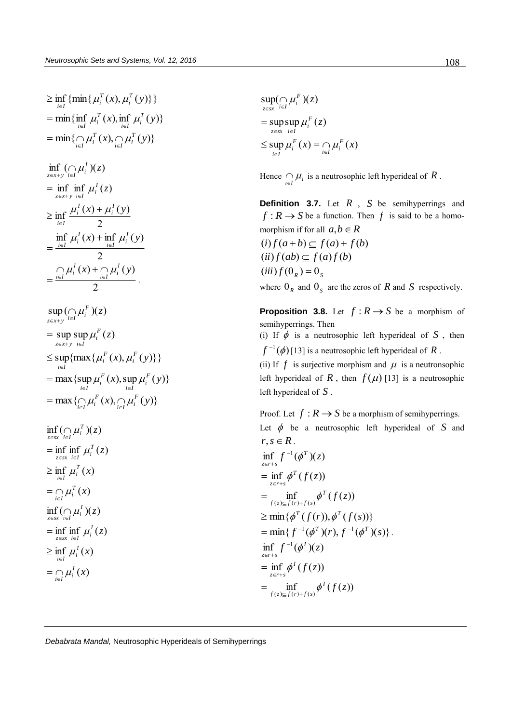$$
\geq \inf_{i \in I} \{ \min \{ \mu_i^T(x), \mu_i^T(y) \} \} \n= \min \{ \inf_{i \in I} \mu_i^T(x), \inf_{i \in I} \mu_i^T(y) \} \n= \min \{ \bigcap_{i \in I} \mu_i^T(x), \bigcap_{i \in I} \mu_i^T(y) \} \n= \inf_{z \in x+y} \bigcap_{i \in I} \mu_i^T(x), \bigcap_{i \in I} \mu_i^T(y) \} \n= \inf_{z \in x+y} \inf_{i \in I} \mu_i^T(z) \n\geq \inf_{i \in I} \frac{\mu_i^T(x) + \mu_i^T(y)}{2} \n= \frac{\inf_{i \in I} \mu_i^T(x) + \inf_{i \in I} \mu_i^T(y)}{2} \n= \frac{\int_{i \in I} \mu_i^T(x) + \int_{i \in I} \mu_i^T(y)}{2} \n= \sup_{z \in x+y} \sup_{i \in I} \mu_i^F(z) \n\leq \sup_{z \in x+y} \{ \max \{ \mu_i^F(x), \mu_i^F(y) \} \} \n= \max \{ \sup_{i \in I} \mu_i^F(x), \sup_{i \in I} \mu_i^F(y) \} \n= \inf_{z \in x} \inf_{i \in I} \mu_i^T(x) \n= \inf_{z \in x} \inf_{i \in I} \mu_i^T(x) \n= \inf_{z \in x} \inf_{i \in I} \mu_i^T(x) \n= \inf_{z \in x} \inf_{i \in I} \mu_i^T(x) \n= \inf_{z \in x} \inf_{i \in I} \mu_i^T(x) \n= \inf_{z \in x} \mu_i^T(x) \n= \inf_{i \in I} \mu_i^T(x) \n= \inf_{i \in I} \mu_i^T(x) \n= \inf_{i \in I} \mu_i^T(x) \n= \inf_{i \in I} \mu_i^T(x) \n= \inf_{i \in I} \mu_i^T(x)
$$

 $\sup \mu_i^F(x) = \bigcap \mu_i^F(x)$ sup sup  $\mu_i^F(z)$  $sup(\bigcap \mu_i^F)(z)$  $\prod_{i\in I}^{\mathcal{U}}\mu_i$ *F*  $\mu_i$ <sub>i</sub>  $\sup_{z \in sx} \sup_{i \in I} \mu_i$  $\sum_{z \in sx}$   $\prod_{i \in I} \mu_i$  $\sup_{i\in I} \mu_i(x) = \bigcap_{i\in I} \mu_i$  $\mu$  $\sup_{i \in sx} (\bigcap_{i \in I} \mu)$  $\varepsilon$ sx  $i\in$  $\leq$  sup  $\mu_i^F(x) = \cap$  $=$  $\cap$ 

Hence  $\bigcap_{i \in I} \mu_i$  is a neutrosophic left hyperideal of R.

**Definition 3.7.** Let *R* , *S* be semihyperrings and  $f: R \to S$  be a function. Then  $f$  is said to be a homomorphism if for all  $a,b \in R$  $(i) f(a+b) \subseteq f(a)+f(b)$  $(ii) f(ab) \subset f(a)f(b)$  $(iii) f(0_R) = 0_S$ 

where  $0_R$  and  $0_S$  are the zeros of R and S respectively.

**Proposition 3.8.** Let  $f: R \to S$  be a morphism of semihyperrings. Then

(i) If  $\phi$  is a neutrosophic left hyperideal of S, then  $f^{-1}(\phi)$  [13] is a neutrosophic left hyperideal of  $R$  .

(ii) If  $f$  is surjective morphism and  $\mu$  is a neutronsophic left hyperideal of  $R$ , then  $f(\mu)$  [13] is a neutrosophic left hyperideal of *S* .

Proof. Let  $f: R \to S$  be a morphism of semihyperrings. Let  $\phi$  be a neutrosophic left hyperideal of S and  $r, s \in R$ .  $\inf f^{-1}(\phi^T)(z)$  $\inf_{z \in r+s} f^{-1}(\phi)$  $\epsilon$  $=\inf_{z \in r+s} \phi^T(f(z))$  $\inf_{(z)\subseteq f(r)+f(s)} \phi^T(f(z))$  $=\inf_{f(z)\subseteq f(r)+f(s)}\phi$  $\geq \min\{ \phi^T(f(r)), \phi^T(f(s)) \}$  $=\min\{f^{-1}(\phi^T)(r), f^{-1}(\phi^T)(s)\}.$  $\inf f^{-1}(\phi^I)(z)$  $\inf_{z \in r+s} f^{-1}(\phi)$  $\epsilon$  $=\inf_{z\in r+s}\phi^I(f(z))$  $\inf_{(z)\subseteq f(r)+f(s)} \phi^I(f(z))$  $=\inf_{f(z)\subseteq f(r)+f(s)}\phi$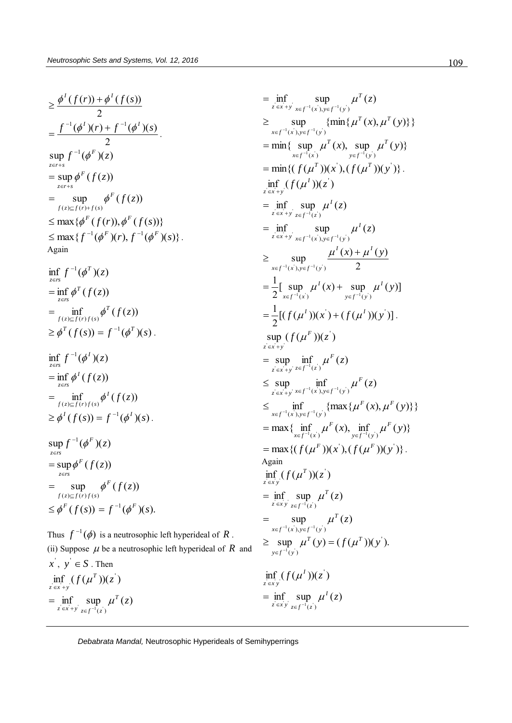$$
\geq \frac{\phi^I(f(r)) + \phi^I(f(s))}{2}
$$
\n
$$
= \frac{f^{-1}(\phi^I)(r) + f^{-1}(\phi^I)(s)}{2}.
$$
\n
$$
\sup_{z \in r+s} f^{-1}(\phi^F)(z)
$$
\n
$$
= \sup_{z \in r+s} \phi^F(f(z))
$$
\n
$$
= \sup_{f(z) \subseteq f(r)+f(s)} \phi^F(f(z))
$$
\n
$$
\leq \max{\phi^F(f(r)), \phi^F(f(s))}
$$
\n
$$
\leq \max{f^{-1}(\phi^F)(r), f^{-1}(\phi^F)(s)}.
$$
\nAgain

$$
\inf_{z \in rs} f^{-1}(\phi^T)(z)
$$
\n
$$
= \inf_{z \in rs} \phi^T(f(z))
$$
\n
$$
= \inf_{f(z) \subseteq f(r)f(s)} \phi^T(f(z))
$$
\n
$$
\geq \phi^T(f(s)) = f^{-1}(\phi^T)(s).
$$
\n
$$
\inf_{z \in rs} f^{-1}(\phi^I)(z)
$$
\n
$$
= \inf_{f(z) \subseteq f(r)f(s)} \phi^I(f(z))
$$
\n
$$
\geq \phi^I(f(s)) = f^{-1}(\phi^I)(s).
$$
\n
$$
\sup_{z \in rs} f^{-1}(\phi^F)(z)
$$
\n
$$
= \sup_{f(z) \subseteq f(r)f(s)} \phi^F(f(z))
$$
\n
$$
= \sup_{f(z) \subseteq f(r)f(s)} \phi^F(f(z))
$$
\n
$$
\leq \phi^F(f(s)) = f^{-1}(\phi^F)(s).
$$

Thus  $f^{-1}(\phi)$  is a neutrosophic left hyperideal of R. (ii) Suppose  $\mu$  be a neutrosophic left hyperideal of  $R$  and  $x^{\prime}, y^{\prime} \in S$ . Then  $\inf_{z \in \mathcal{X}} (f(\mu^T))(z)$  $\lim_{z \in x+y} (f(u))$ inf sup  $\mu^T(z)$  $\inf_{z \in f^{-1}(z)} \sup_{z \in f^{-1}(z)} \mu^{T}(z)$  $\lim_{z \in x+y} \sup_{z \in f^{-1}(z)} \mu$  $=\inf_{z \in x+y} \sup_{z \in f^{-}}$ 

$$
= \inf_{z \in x+y} \sup_{x \in f^{-1}(x^i), y \in f^{-1}(y^i)} \mu^T(z)
$$
\n
$$
\geq \sup_{x \in f^{-1}(x^i), y \in f^{-1}(y^i)} \{\min\{\mu^T(x), \mu^T(y)\}\}
$$
\n
$$
= \min\{\sup_{x \in f^{-1}(x^i)} \mu^T(x), \sup_{y \in f^{-1}(y^i)} \mu^T(y)\}
$$
\n
$$
= \min\{(f(\mu^T))(x^i), (f(\mu^T))(y^i)\}.
$$
\n
$$
= \inf_{z \in x+y} \sup_{x \in f^{-1}(z)} \mu^I(z)
$$
\n
$$
= \inf_{z \in x+y} \sup_{x \in f^{-1}(z^i), y \in f^{-1}(y^i)} \mu^I(z)
$$
\n
$$
\geq \sup_{x \in f^{-1}(x^i), y \in f^{-1}(y^i)} \frac{\mu^I(x) + \mu^I(y)}{2}
$$
\n
$$
= \frac{1}{2} [\sup_{x \in f^{-1}(x^i)} \mu^I(x) + \sup_{y \in f^{-1}(y^i)} \mu^I(y)]
$$
\n
$$
= \frac{1}{2} [(f(\mu^I))(x^i) + (f(\mu^I))(y^i)].
$$
\n
$$
\sup_{z \in x+y} (f(\mu^F))(z^i)
$$
\n
$$
\leq \sup_{x \in f^{-1}(x^i)} \inf_{x \in f^{-1}(x^i)} \mu^F(z)
$$
\n
$$
\leq \sup_{x \in x+y} \inf_{x \in f^{-1}(x^i), y \in f^{-1}(y^i)} \mu^F(z)
$$
\n
$$
\leq \sup_{x \in f^{-1}(x^i), y \in f^{-1}(y^i)} \{\max\{\mu^F(x), \mu^F(y)\}\}
$$
\n
$$
= \max\{\inf_{x \in f^{-1}(x^i)} \mu^F(x), \inf_{y \in f^{-1}(y^i)} \mu^F(y)\}
$$
\n
$$
= \max\{(f(\mu^T))(x^i), (f(\mu^F))(y^i)\}.
$$
\nAgain\n
$$
\inf_{x \in f^{-1}(x^i), y \in f^{-1}(y^i)} \mu^T(z)
$$
\n
$$
= \sup_{x \in f^{-1}(x^
$$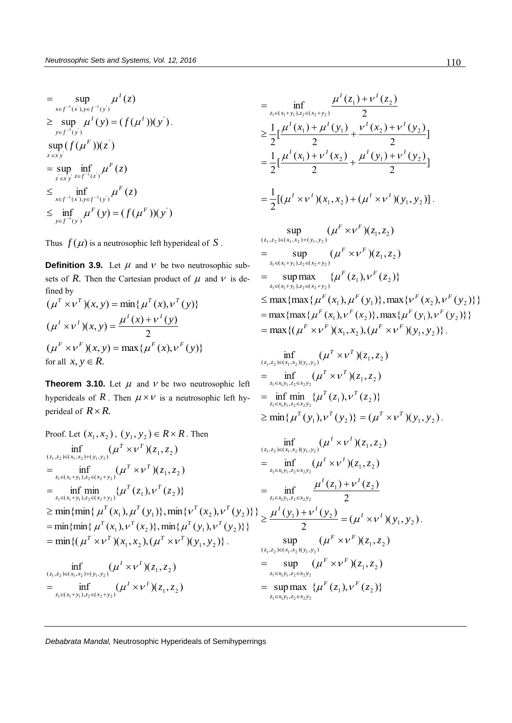*I*

$$
= \sup_{x \in f^{-1}(x^{'}), y \in f^{-1}(y^{'})} \mu^{I}(z)
$$
  
\n
$$
\geq \sup_{y \in f^{-1}(y^{'})} \mu^{I}(y) = (f(\mu^{I}))(y^{'}) .
$$
  
\n
$$
\sup_{z \in x y^{'}} (f(\mu^{F}))(z^{'})
$$
  
\n
$$
= \sup_{z^{'} \in x y^{'}} \inf_{z \in f^{-1}(z^{'})} \mu^{F}(z)
$$
  
\n
$$
\leq \inf_{x \in f^{-1}(x^{'}), y \in f^{-1}(y^{'})} \mu^{F}(z)
$$
  
\n
$$
\leq \inf_{y \in f^{-1}(y^{'})} \mu^{F}(y) = (f(\mu^{F}))(y^{'})
$$

Thus  $f(\mu)$  is a neutrosophic left hyperideal of S.

**Definition 3.9.** Let  $\mu$  and  $\nu$  be two neutrosophic subsets of  $R$ . Then the Cartesian product of  $\mu$  and  $\nu$  is defined by

$$
(\mu^T \times \nu^T)(x, y) = \min{\mu^T(x), \nu^T(y)}
$$
  

$$
(\mu^T \times \nu^T)(x, y) = \frac{\mu^T(x) + \nu^T(y)}{2}
$$
  

$$
(\mu^F \times \nu^F)(x, y) = \max{\mu^F(x), \nu^F(y)}
$$
  
for all  $x, y \in R$ .

**Theorem 3.10.** Let  $\mu$  and  $\nu$  be two neutrosophic left hyperideals of R. Then  $\mu \times \nu$  is a neutrosophic left hyperideal of  $R \times R$ .

Proof. Let 
$$
(x_1, x_2)
$$
,  $(y_1, y_2) \in R \times R$ . Then  
\n
$$
\inf_{(z_1, z_2) \in (x_1, x_2) + (y_1, y_2)} (\mu^T \times \nu^T)(z_1, z_2)
$$
\n
$$
= \inf_{z_1 \in (x_1 + y_1), z_2 \in (x_2 + y_2)} (\mu^T \times \nu^T)(z_1, z_2)
$$
\n
$$
= \inf_{z_1 \in (x_1 + y_1), z_2 \in (x_2 + y_2)} {\mu^T(z_1), \nu^T(z_2)}
$$
\n
$$
\geq \min\{\min \{ \mu^T(x_1), \mu^T(y_1) \}, \min \{ \nu^T(x_2), \nu^T(y_2) \} \} = \inf_{z_1 \in x_1 y_1, z_2 \in x_2 y_2} \frac{\mu^T(z_1)}{\mu^T(z_1)} \leq \min \{ \min \{ \mu^T(x_1), \mu^T(y_1) \}, \min \{ \nu^T(y_2), \nu^T(y_2) \} \} \geq \frac{\mu^T(y_1) + \nu^T(y_2)}{2}
$$
\n
$$
= \min \{ (\mu^T \times \nu^T)(x_1, x_2), (\mu^T \times \nu^T)(y_1, y_2) \}.
$$
\n
$$
= \min \{ (\mu^T \times \nu^T)(x_1, x_2), (\mu^T \times \nu^T)(y_1, y_2) \}.
$$
\n
$$
= \sup_{(z_1, z_2) \in (x_1, x_2) \cup (y_1, y_2)} (\mu^F \times \mu^F)(y_1, y_2)
$$
\n
$$
= \sup_{z_1 \in x_1 y_1, z_2 \in x_2 y_2} (\mu^F \times \mu^F)(z_1, z_2)
$$
\n
$$
= \sup_{z_1 \in x_1 y_1, z_2 \in x_2 y_2} (\mu^F \times \mu^F)(z_1, z_2)
$$
\n
$$
= \sup_{z_1 \in x_1 y_1, z_2 \in x_2 y_2} (\mu^F \times \mu^F)(z_1, z_2)
$$

$$
= \inf_{z_1 \in (x_1 + y_1), z_2 \in (x_2 + y_2)} \frac{\mu^I(z_1) + \nu^I(z_2)}{2}
$$
  
\n
$$
\geq \frac{1}{2} \Big[ \frac{\mu^I(x_1) + \mu^I(y_1)}{2} + \frac{\nu^I(x_2) + \nu^I(y_2)}{2} \Big]
$$
  
\n
$$
= \frac{1}{2} \Big[ \frac{\mu^I(x_1) + \nu^I(x_2)}{2} + \frac{\mu^I(y_1) + \nu^I(y_2)}{2} \Big]
$$
  
\n
$$
= \frac{1}{2} \Big[ (\mu^I \times \nu^I)(x_1, x_2) + (\mu^I \times \nu^I)(y_1, y_2) \Big].
$$

2

$$
\sup_{(z_1,z_2)\in(x_1,x_2)+(y_1,y_2)} (\mu^F \times \nu^F)(z_1,z_2)
$$
\n
$$
= \sup_{z_1 \in (x_1+y_1), z_2 \in (x_2+y_2)} (\mu^F \times \nu^F)(z_1,z_2)
$$
\n
$$
= \sup_{z_1 \in (x_1+y_1), z_2 \in (x_2+y_2)} {\mu^F(z_1), \nu^F(z_2)}\n\n\le \max \{ \max \{ \mu^F(x_1), \mu^F(y_1) \}, \max \{ \nu^F(x_2), \nu^F(y_2) \} \}
$$
\n
$$
= \max \{ \max \{ \mu^F(x_1), \nu^F(x_2) \}, \max \{ \mu^F(y_1), \nu^F(y_2) \} \}
$$
\n
$$
= \max \{ (\mu^F \times \nu^F)(x_1, x_2), (\mu^F \times \nu^F)(y_1, y_2) \}.
$$

$$
\inf_{(z_1,z_2)\in(x_1,x_2)(y_1,y_2)} (\mu^T \times \nu^T)(z_1,z_2)
$$
\n
$$
= \inf_{z_1 \in x_1y_1,z_2 \in x_2y_2} (\mu^T \times \nu^T)(z_1,z_2)
$$
\n
$$
= \inf_{z_1 \in x_1y_1,z_2 \in x_2y_2} {\mu^T(z_1), \nu^T(z_2)}
$$
\n
$$
\ge \min{\mu^T(y_1), \nu^T(y_2)} = (\mu^T \times \nu^T)(y_1, y_2).
$$

$$
\inf_{(z_1, z_2) \in (x_1, x_2)(y_1, y_2)} (\mu^I \times \nu^I)(z_1, z_2)
$$
\n
$$
= \inf_{z_1 \in x_1 y_1, z_2 \in x_2 y_2} (\mu^I \times \nu^I)(z_1, z_2)
$$
\n
$$
= \inf_{z_1 \in x_1 y_1, z_2 \in x_2 y_2} \frac{\mu^I(z_1) + \nu^I(z_2)}{2}
$$
\n
$$
\ge \frac{\mu^I(y_1) + \nu^I(y_2)}{2} = (\mu^I \times \nu^I)(y_1, y_2).
$$
\n
$$
\sup_{(z_1, z_2) \in (x_1, x_2)(y_1, y_2)} (\mu^F \times \nu^F)(z_1, z_2)
$$
\n
$$
= \sup_{z_1 \in x_1 y_1, z_2 \in x_2 y_2} (\mu^F \times \nu^F)(z_1, z_2)
$$
\n
$$
= \sup_{z_1 \in x_1 y_1, z_2 \in x_2 y_2} {\mu^F(z_1), \nu^F(z_2)}
$$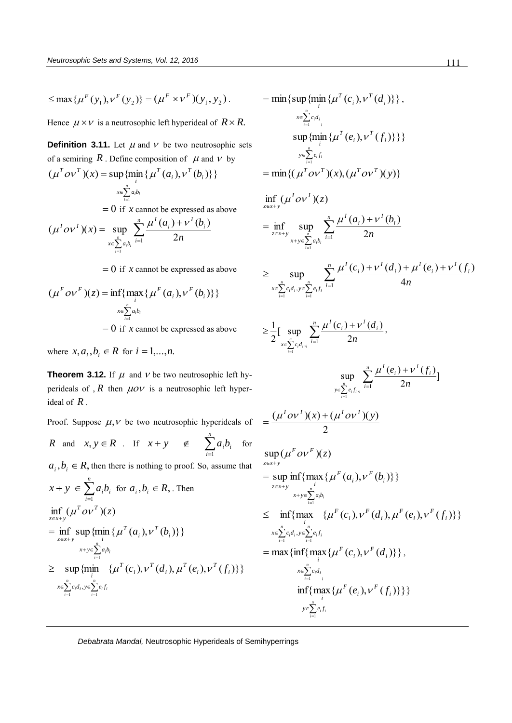$\leq$  max { $\mu^F(y_1), \nu^F(y_2)$ } =  $(\mu^F \times \nu^F)(y_1, y_2)$ .

Hence  $\mu \times \nu$  is a neutrosophic left hyperideal of  $R \times R$ .

**Definition 3.11.** Let  $\mu$  and  $\nu$  be two neutrosophic sets of a semiring  $R$ . Define composition of  $\mu$  and  $\nu$  by  $(\mu^Tov^T)(x) = \sup \{\min \{ \mu^T(a_i), v^T(b_i) \}\}\$ *T i T i*  $\mu^T \, o \nu^T$   $(x)$  = sup {min {  $\mu^T(a_i)$ ,  $\nu^T(b)$ 

$$
x \in \sum_{i=1}^{n} a_i b_i
$$

 $= 0$  if *x* cannot be expressed as above

$$
(\mu^{l} o v^{l})(x) = \sup_{x \in \sum_{i=1}^{n} a_{i}b_{i}} \frac{\mu^{l}(a_{i}) + v^{l}(b_{i})}{2n}
$$

 $= 0$  if *x* cannot be expressed as above

$$
(\mu^F o \nu^F)(z) = \inf \{ \max_i \{ \mu^F(a_i), \nu^F(b_i) \} \}
$$

$$
\sum_{i=1}^n a_i b_i
$$

 $= 0$  if *x* cannot be expressed as above

where  $x, a_i, b_i \in R$  for  $i = 1,...,n$ .

**Theorem 3.12.** If  $\mu$  and  $\nu$  be two neutrosophic left hyperideals of ,  $R$  then  $\mu$ o $\nu$  is a neutrosophic left hyperideal of *R* .

Proof. Suppose  $\mu$ ,  $\nu$  be two neutrosophic hyperideals of

R and 
$$
x, y \in R
$$
. If  $x + y \notin \sum_{i=1}^{n} a_i b_i$  for

 $a_i, b_i \in R$ , then there is nothing to proof. So, assume that

$$
x + y \in \sum_{i=1}^{n} a_i b_i \text{ for } a_i, b_i \in R, \text{ Then}
$$
  
\n
$$
\inf_{z \in x+y} (\mu^T o \nu^T)(z)
$$
  
\n
$$
= \inf_{z \in x+y} \sup_{x+y \in \sum_{i=1}^{n} a_i b_i} {\mu^T(a_i), \nu^T(b_i)}\n\geq \sup_{x \in \sum_{i=1}^{n} a_i b_i} {\mu^T(c_i), \nu^T(d_i), \mu^T(e_i), \nu^T(f_i)}\n\geq x \in \sum_{i=1}^{n} c_i d_i, y \in \sum_{i=1}^{n} e_i f_i}
$$

$$
= \min \{ \sup_{x \in \sum_{i=1}^{n} c_i d_i} \{ \mu^T(c_i), v^T(d_i) \} \},
$$
  
\n
$$
\sup_{x \in \sum_{i=1}^{n} c_i d_i} \sup_{y \in \sum_{i=1}^{n} e_i f_i} \{ \mu^T(e_i), v^T(f_i) \} \}
$$
  
\n
$$
= \min \{ (\mu^T o v^T)(x), (\mu^T o v^T)(y) \}
$$
  
\n
$$
\inf_{z \in x + y} (\mu^T o v^T)(z)
$$
  
\n
$$
= \inf_{z \in x + y} \sup_{x + y \in \sum_{i=1}^{n} a_i b_i} \sum_{i=1}^{n} \frac{\mu^T(a_i) + v^T(b_i)}{2n}
$$
  
\n
$$
\geq \sup_{x \in \sum_{i=1}^{n} c_i d_i, y \in \sum_{i=1}^{n} e_i f_i} \frac{\mu^T(c_i) + v^T(d_i) + \mu^T(e_i) + v^T(f_i)}{4n}
$$

$$
\geq \frac{1}{2}\Big[\sup_{x \in \sum_{i=1}^n c_i d_i, i} \sum_{i=1}^n \frac{\mu^I(c_i) + \nu^I(d_i)}{2n},\right]
$$

 $\sum_{i=1}^{\infty} e_i$ 

$$
\sup_{y \in \sum_{i=1}^n e_i f_{i\gamma_i}} \sum_{i=1}^n \frac{\mu^I(e_i) + \nu^I(f_i)}{2n} \big]
$$

$$
=\frac{(\mu^{l}ov^{l})(x)+(\mu^{l}ov^{l})(y)}{2}
$$

$$
\sup_{z \in x+y} (\mu^F \, o \nu^F)(z)
$$
\n
$$
= \sup_{z \in x+y} \inf_{\{ \max_i \} \{ \mu^F(a_i), \nu^F(b_i) \} \}
$$
\n
$$
\leq \inf_{z \in x+y} \max_{\substack{i \\ \text{if } i \neq j \\ i \neq j}} \{ \mu^F(c_i), \nu^F(d_i), \mu^F(e_i), \nu^F(f_i) \} \}
$$
\n
$$
= \max_{\{ \min_i \} \{ \max_i \} \{ \mu^F(c_i), \nu^F(d_i) \} \},
$$
\n
$$
= \max_{\substack{i \\ \text{if } i \neq j \\ \text{if } i \neq j}} \{ \mu^F(c_i), \nu^F(f_i) \} \}
$$
\n
$$
= \sum_{i=1}^n c_i d_i
$$
\n
$$
\inf_{\substack{i \\ \text{if } i \neq j \\ \text{if } i \neq j}} \{ \mu^F(e_i), \nu^F(f_i) \} \}
$$

*Debabrata Mandal,* Neutrosophic Hyperideals of Semihyperrings

*i*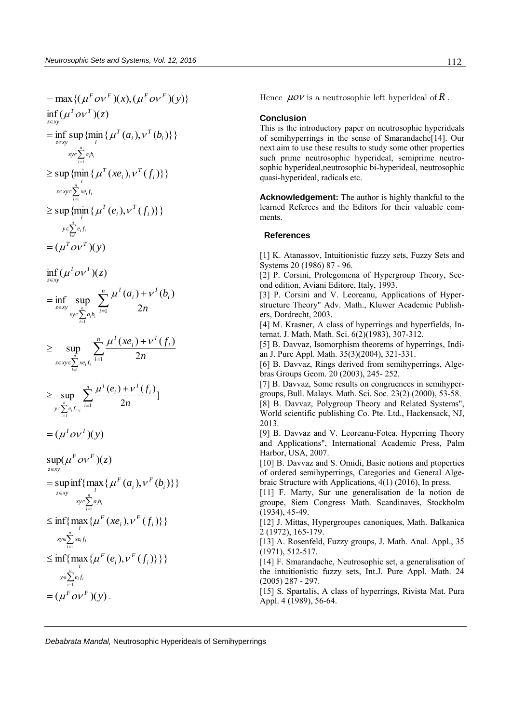$$
= max\{ (\mu^r o \nu^r)(x), (\mu^r o \nu^r)(y) \}
$$
\n
$$
= \inf_{z \in xy} (\mu^r o \nu^r)(z)
$$
\n
$$
= \inf_{z \in xy} \sup_{i} \{ \min_{i} \{ \mu^r(a_i), \nu^r(b_i) \} \}
$$
\n
$$
= \sup_{x \in y} \{ \min_{i} \{ \mu^r(x_i), \nu^r(f_i) \} \}
$$
\n
$$
= sup \{ \min_{i} \{ \mu^r(x_i), \nu^r(f_i) \} \}
$$
\n
$$
= sup \{ \min_{i} \{ \mu^r(e_i), \nu^r(f_i) \} \}
$$
\n
$$
= \sum_{i=1}^{n} e_i f_i
$$
\n
$$
= (\mu^r o \nu^r)(y)
$$
\n
$$
= \inf_{z \in xy} \sup_{x \in \sum_{i=1}^{n} a_i b_i} \frac{\mu^l(a_i) + \nu^l(b_i)}{2n}
$$
\n
$$
= \sup_{z \in xy} \sum_{i=1}^{n} \frac{\mu^l(x_i) + \nu^l(f_i)}{2n}
$$
\n
$$
= \sup_{y \in \sum_{i=1}^{n} e_i f_i} \frac{\sum_{i=1}^{n} \mu^l(e_i) + \nu^l(f_i)}{2n}
$$
\n
$$
= (\mu^l o \nu^l)(y)
$$
\n
$$
sup(\mu^r o \nu^r)(z)
$$
\n
$$
= sup \inf_{z \in xy} \{ \max_{i} \{ \mu^r(a_i), \nu^r(b_i) \} \}
$$
\n
$$
= \sup_{x \in \sum_{i=1}^{n} a_i b_i} \frac{\sum_{i=1}^{n} \sum_{i=1}^{n} \mu^r(e_i^r)(x_i^r, y_i^r)}{\sum_{i=1}^{n} a_i b_i}
$$
\n
$$
\leq \inf_{i} \{ \max_{i} \{ \mu^r(e_i^r), \nu^r(f_i) \} \}
$$
\n
$$
= \sum_{i=1}^{n} e_i f_i
$$
\n
$$
\leq \inf_{i} \{ \max_{i} \{ \mu^r(e_i^r), \nu^r(f_i) \} \}
$$
\n
$$
= (\mu^r o \nu^
$$

Hence  $\mu o \nu$  is a neutrosophic left hyperideal of  $R$ .

### **Conclusion**

This is the introductory paper on neutrosophic hyperideals of semihyperrings in the sense of Smarandache[14]. Our next aim to use these results to study some other properties such prime neutrosophic hyperideal, semiprime neutrosophic hyperideal,neutrosophic bi-hyperideal, neutrosophic quasi-hyperideal, radicals etc.

**Acknowledgement:** The author is highly thankful to the learned Referees and the Editors for their valuable comments.

#### **References**

[1] K. Atanassov, Intuitionistic fuzzy sets, Fuzzy Sets and Systems 20 (1986) 87 - 96.

[2] P. Corsini, Prolegomena of Hypergroup Theory, Second edition, Aviani Editore, Italy, 1993.

[3] P. Corsini and V. Leoreanu, Applications of Hyperstructure Theory" Adv. Math., Kluwer Academic Publishers, Dordrecht, 2003.

[4] M. Krasner, A class of hyperrings and hyperfields, Internat. J. Math. Math. Sci. 6(2)(1983), 307-312.

[5] B. Davvaz, Isomorphism theorems of hyperrings, Indian J. Pure Appl. Math. 35(3)(2004), 321-331.

[6] B. Davvaz, Rings derived from semihyperrings, Algebras Groups Geom. 20 (2003), 245- 252.

[7] B. Davvaz, Some results on congruences in semihypergroups, Bull. Malays. Math. Sci. Soc. 23(2) (2000), 53-58.

[8] B. Davvaz, Polygroup Theory and Related Systems", World scientific publishing Co. Pte. Ltd., Hackensack, NJ, 2013.

[9] B. Davvaz and V. Leoreanu-Fotea, Hyperring Theory and Applications", International Academic Press, Palm Harbor, USA, 2007.

[10] B. Davvaz and S. Omidi, Basic notions and ptoperties of ordered semihyperrings, Categories and General Algebraic Structure with Applications, 4(1) (2016), In press.

[11] F. Marty, Sur une generalisation de la notion de groupe, 8iem Congress Math. Scandinaves, Stockholm (1934), 45-49.

[12] J. Mittas, Hypergroupes canoniques, Math. Balkanica 2 (1972), 165-179.

[13] A. Rosenfeld, Fuzzy groups, J. Math. Anal. Appl., 35 (1971), 512-517.

[14] F. Smarandache, Neutrosophic set, a generalisation of the intuitionistic fuzzy sets, Int.J. Pure Appl. Math. 24 (2005) 287 - 297.

[15] S. Spartalis, A class of hyperrings, Rivista Mat. Pura Appl. 4 (1989), 56-64.